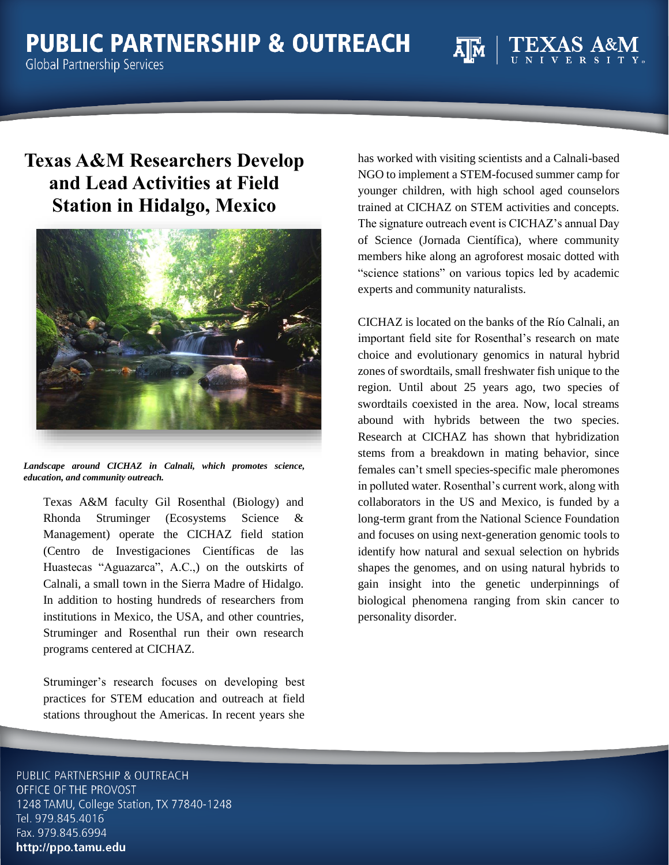## **Texas A&M Researchers Develop and Lead Activities at Field Station in Hidalgo, Mexico**



*Landscape around CICHAZ in Calnali, which promotes science, education, and community outreach.*

Texas A&M faculty Gil Rosenthal (Biology) and Rhonda Struminger (Ecosystems Science & Management) operate the CICHAZ field station (Centro de Investigaciones Científicas de las Huastecas "Aguazarca", A.C.,) on the outskirts of Calnali, a small town in the Sierra Madre of Hidalgo. In addition to hosting hundreds of researchers from institutions in Mexico, the USA, and other countries, Struminger and Rosenthal run their own research programs centered at CICHAZ.

Struminger's research focuses on developing best practices for STEM education and outreach at field stations throughout the Americas. In recent years she

has worked with visiting scientists and a Calnali-based NGO to implement a STEM-focused summer camp for younger children, with high school aged counselors trained at CICHAZ on STEM activities and concepts. The signature outreach event is CICHAZ's annual Day of Science (Jornada Científica), where community members hike along an agroforest mosaic dotted with "science stations" on various topics led by academic experts and community naturalists.

CICHAZ is located on the banks of the Río Calnali, an important field site for Rosenthal's research on mate choice and evolutionary genomics in natural hybrid zones of swordtails, small freshwater fish unique to the region. Until about 25 years ago, two species of swordtails coexisted in the area. Now, local streams abound with hybrids between the two species. Research at CICHAZ has shown that hybridization stems from a breakdown in mating behavior, since females can't smell species-specific male pheromones in polluted water. Rosenthal's current work, along with collaborators in the US and Mexico, is funded by a long-term grant from the National Science Foundation and focuses on using next-generation genomic tools to identify how natural and sexual selection on hybrids shapes the genomes, and on using natural hybrids to gain insight into the genetic underpinnings of biological phenomena ranging from skin cancer to personality disorder.

PUBLIC PARTNERSHIP & OUTREACH OFFICE OF THE PROVOST 1248 TAMU, College Station, TX 77840-1248 Tel. 979.845.4016 Fax. 979.845.6994 http://ppo.tamu.edu